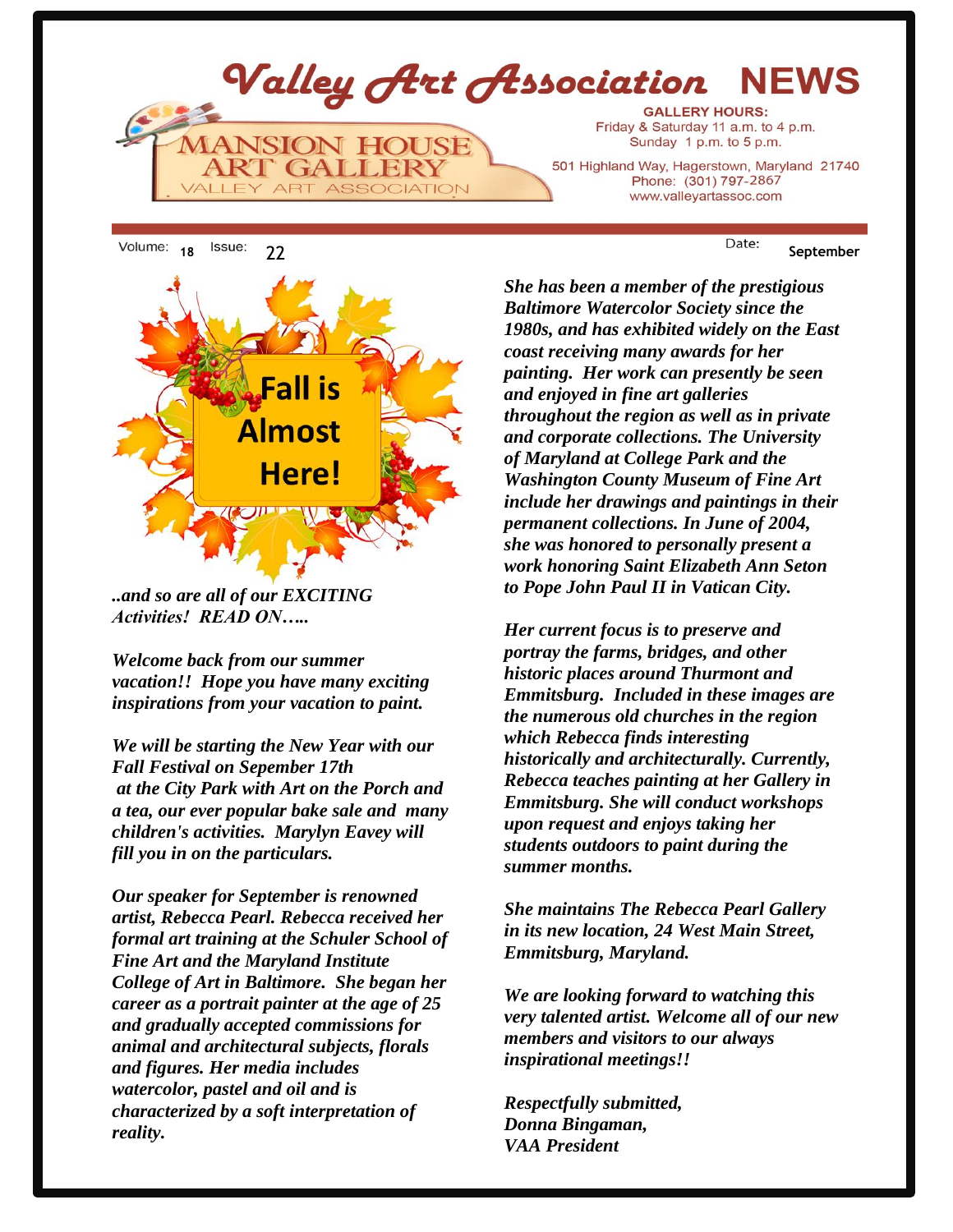Valley Art Association **NEWS GALLERY HOURS:** Friday & Saturday 11 a.m. to 4 p.m. **JSION HOUSI** Sunday 1 p.m. to 5 p.m. 501 Highland Way, Hagerstown, Maryland 21740 Phone: (301) 797-2867 **ASSOCIATION**  $A1F$ **ART** www.valleyartassoc.com



*..and so are all of our EXCITING Activities! READ ON…..*

*Welcome back from our summer vacation!! Hope you have many exciting inspirations from your vacation to paint.* 

*We will be starting the New Year with our Fall Festival on Sepember 17th at the City Park with Art on the Porch and a tea, our ever popular bake sale and many children's activities. Marylyn Eavey will fill you in on the particulars.*

*Our speaker for September is renowned artist, Rebecca Pearl. Rebecca received her formal art training at the Schuler School of Fine Art and the Maryland Institute College of Art in Baltimore. She began her career as a portrait painter at the age of 25 and gradually accepted commissions for animal and architectural subjects, florals and figures. Her media includes watercolor, pastel and oil and is characterized by a soft interpretation of reality.* 

*She has been a member of the prestigious Baltimore Watercolor Society since the 1980s, and has exhibited widely on the East coast receiving many awards for her painting. Her work can presently be seen and enjoyed in fine art galleries throughout the region as well as in private and corporate collections. The University of Maryland at College Park and the Washington County Museum of Fine Art include her drawings and paintings in their permanent collections. In June of 2004, she was honored to personally present a work honoring Saint Elizabeth Ann Seton to Pope John Paul II in Vatican City.*

*Her current focus is to preserve and portray the farms, bridges, and other historic places around Thurmont and Emmitsburg. Included in these images are the numerous old churches in the region which Rebecca finds interesting historically and architecturally. Currently, Rebecca teaches painting at her Gallery in Emmitsburg. She will conduct workshops upon request and enjoys taking her students outdoors to paint during the summer months.*

*She maintains The Rebecca Pearl Gallery in its new location, 24 West Main Street, Emmitsburg, Maryland.*

*We are looking forward to watching this very talented artist. Welcome all of our new members and visitors to our always inspirational meetings!!*

*Respectfully submitted, Donna Bingaman, VAA President*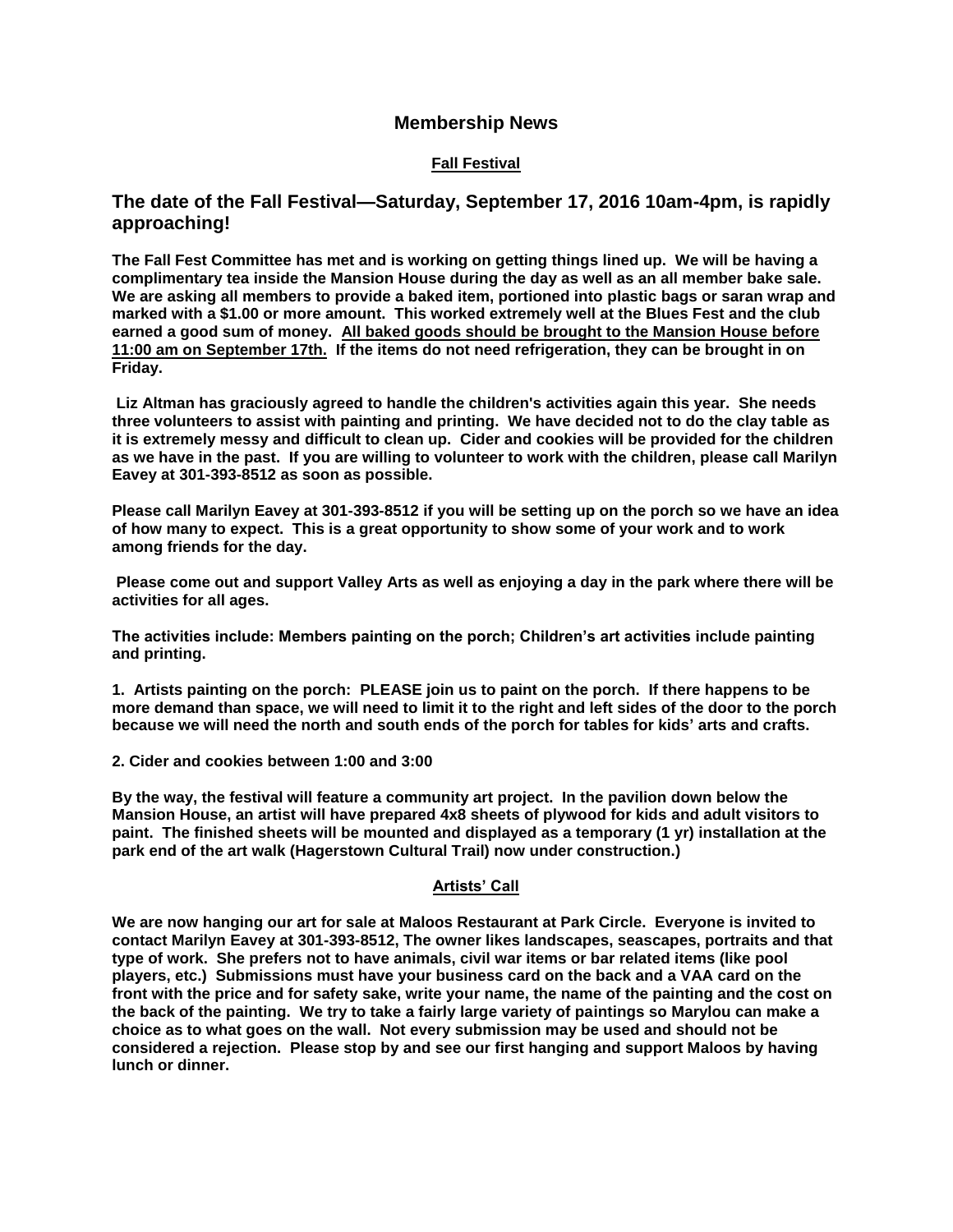#### **Membership News**

#### **Fall Festival**

#### **The date of the Fall Festival—Saturday, September 17, 2016 10am-4pm, is rapidly approaching!**

**The Fall Fest Committee has met and is working on getting things lined up. We will be having a complimentary tea inside the Mansion House during the day as well as an all member bake sale. We are asking all members to provide a baked item, portioned into plastic bags or saran wrap and marked with a \$1.00 or more amount. This worked extremely well at the Blues Fest and the club earned a good sum of money. All baked goods should be brought to the Mansion House before 11:00 am on September 17th. If the items do not need refrigeration, they can be brought in on Friday.**

**Liz Altman has graciously agreed to handle the children's activities again this year. She needs three volunteers to assist with painting and printing. We have decided not to do the clay table as it is extremely messy and difficult to clean up. Cider and cookies will be provided for the children as we have in the past. If you are willing to volunteer to work with the children, please call Marilyn Eavey at 301-393-8512 as soon as possible.**

**Please call Marilyn Eavey at 301-393-8512 if you will be setting up on the porch so we have an idea of how many to expect. This is a great opportunity to show some of your work and to work among friends for the day.**

**Please come out and support Valley Arts as well as enjoying a day in the park where there will be activities for all ages.**

**The activities include: Members painting on the porch; Children's art activities include painting and printing.**

**1. Artists painting on the porch: PLEASE join us to paint on the porch. If there happens to be more demand than space, we will need to limit it to the right and left sides of the door to the porch because we will need the north and south ends of the porch for tables for kids' arts and crafts.**

**2. Cider and cookies between 1:00 and 3:00**

**By the way, the festival will feature a community art project. In the pavilion down below the Mansion House, an artist will have prepared 4x8 sheets of plywood for kids and adult visitors to paint. The finished sheets will be mounted and displayed as a temporary (1 yr) installation at the park end of the art walk (Hagerstown Cultural Trail) now under construction.)**

#### **Artists' Call**

**We are now hanging our art for sale at Maloos Restaurant at Park Circle. Everyone is invited to contact Marilyn Eavey at 301-393-8512, The owner likes landscapes, seascapes, portraits and that type of work. She prefers not to have animals, civil war items or bar related items (like pool players, etc.) Submissions must have your business card on the back and a VAA card on the front with the price and for safety sake, write your name, the name of the painting and the cost on the back of the painting. We try to take a fairly large variety of paintings so Marylou can make a choice as to what goes on the wall. Not every submission may be used and should not be considered a rejection. Please stop by and see our first hanging and support Maloos by having lunch or dinner.**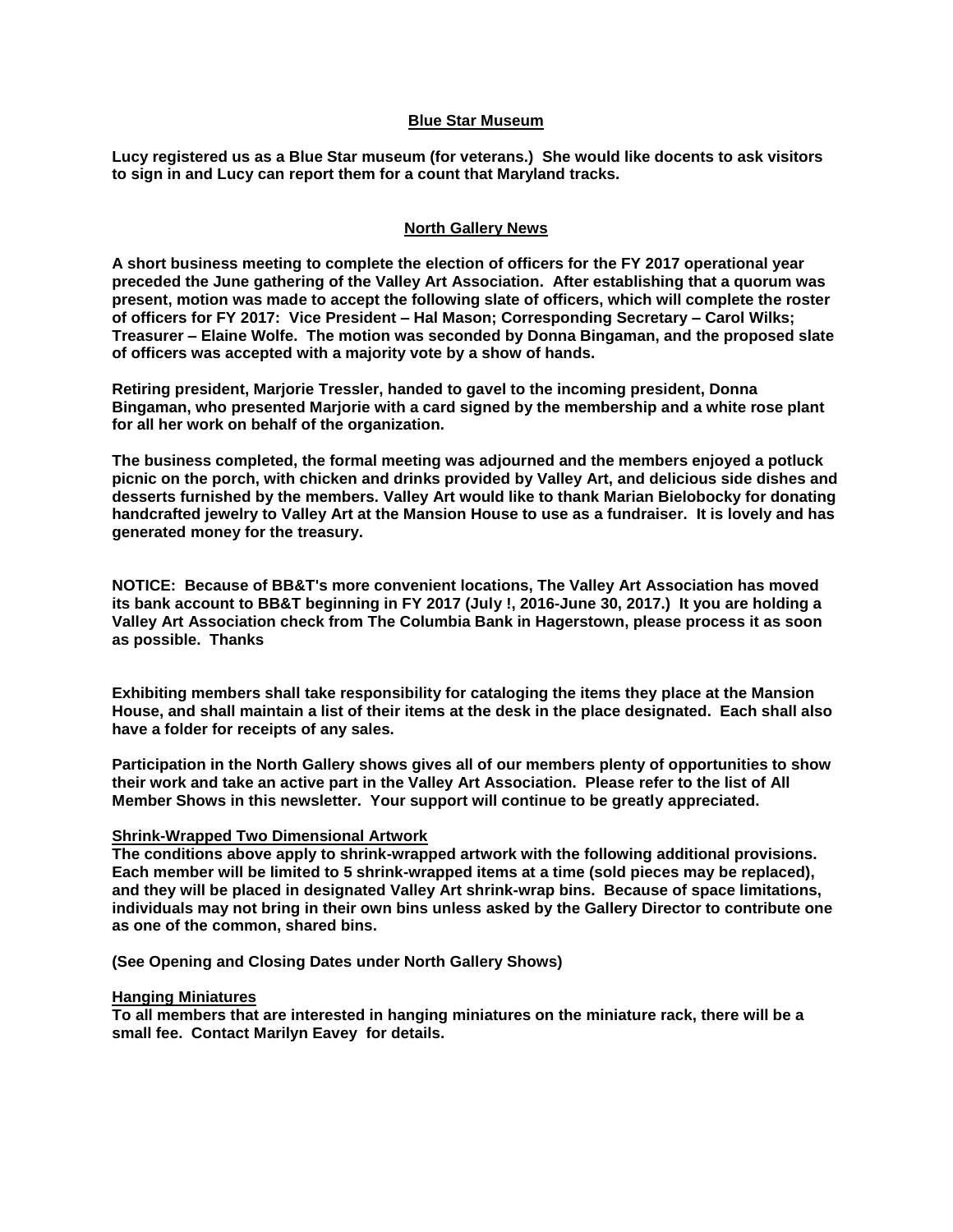#### **Blue Star Museum**

**Lucy registered us as a Blue Star museum (for veterans.) She would like docents to ask visitors to sign in and Lucy can report them for a count that Maryland tracks.** 

#### **North Gallery News**

**A short business meeting to complete the election of officers for the FY 2017 operational year preceded the June gathering of the Valley Art Association. After establishing that a quorum was present, motion was made to accept the following slate of officers, which will complete the roster of officers for FY 2017: Vice President – Hal Mason; Corresponding Secretary – Carol Wilks; Treasurer – Elaine Wolfe. The motion was seconded by Donna Bingaman, and the proposed slate of officers was accepted with a majority vote by a show of hands.**

**Retiring president, Marjorie Tressler, handed to gavel to the incoming president, Donna Bingaman, who presented Marjorie with a card signed by the membership and a white rose plant for all her work on behalf of the organization.** 

**The business completed, the formal meeting was adjourned and the members enjoyed a potluck picnic on the porch, with chicken and drinks provided by Valley Art, and delicious side dishes and desserts furnished by the members. Valley Art would like to thank Marian Bielobocky for donating handcrafted jewelry to Valley Art at the Mansion House to use as a fundraiser. It is lovely and has generated money for the treasury.**

**NOTICE: Because of BB&T's more convenient locations, The Valley Art Association has moved its bank account to BB&T beginning in FY 2017 (July !, 2016-June 30, 2017.) It you are holding a Valley Art Association check from The Columbia Bank in Hagerstown, please process it as soon as possible. Thanks**

**Exhibiting members shall take responsibility for cataloging the items they place at the Mansion House, and shall maintain a list of their items at the desk in the place designated. Each shall also have a folder for receipts of any sales.** 

**Participation in the North Gallery shows gives all of our members plenty of opportunities to show their work and take an active part in the Valley Art Association. Please refer to the list of All Member Shows in this newsletter. Your support will continue to be greatly appreciated.**

#### **Shrink-Wrapped Two Dimensional Artwork**

**The conditions above apply to shrink-wrapped artwork with the following additional provisions. Each member will be limited to 5 shrink-wrapped items at a time (sold pieces may be replaced), and they will be placed in designated Valley Art shrink-wrap bins. Because of space limitations, individuals may not bring in their own bins unless asked by the Gallery Director to contribute one as one of the common, shared bins.**

**(See Opening and Closing Dates under North Gallery Shows)**

#### **Hanging Miniatures**

**To all members that are interested in hanging miniatures on the miniature rack, there will be a small fee. Contact Marilyn Eavey for details.**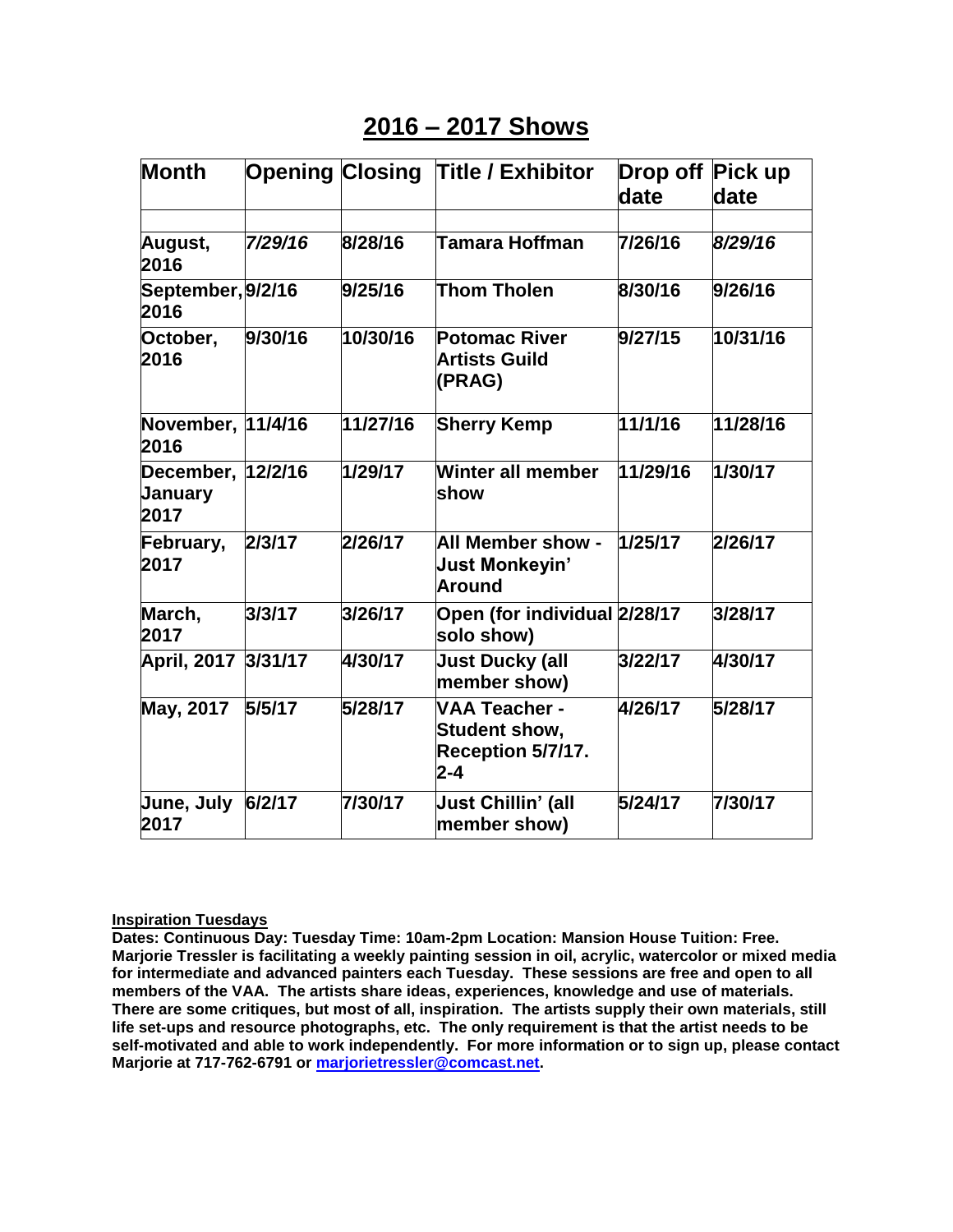## **2016 – 2017 Shows**

| <b>Month</b>                                | <b>Opening Closing</b> |          | <b>Title / Exhibitor</b>                                                     | Drop off Pick up<br>date | date     |
|---------------------------------------------|------------------------|----------|------------------------------------------------------------------------------|--------------------------|----------|
|                                             |                        |          |                                                                              |                          |          |
| August,<br>2016                             | 7/29/16                | 8/28/16  | <b>Tamara Hoffman</b>                                                        | 7/26/16                  | 8/29/16  |
| September, 9/2/16<br>2016                   |                        | 9/25/16  | Thom Tholen                                                                  | 8/30/16                  | 9/26/16  |
| October,<br>2016                            | 9/30/16                | 10/30/16 | <b>Potomac River</b><br><b>Artists Guild</b><br>(PRAG)                       | 9/27/15                  | 10/31/16 |
| November, 11/4/16<br>2016                   |                        | 11/27/16 | <b>Sherry Kemp</b>                                                           | 11/1/16                  | 11/28/16 |
| December, 12/2/16<br><b>January</b><br>2017 |                        | 1/29/17  | Winter all member<br>show                                                    | 11/29/16                 | 1/30/17  |
| February,<br>2017                           | 2/3/17                 | 2/26/17  | <b>All Member show -</b><br>Just Monkeyin'<br><b>Around</b>                  | 1/25/17                  | 2/26/17  |
| March,<br>2017                              | 3/3/17                 | 3/26/17  | Open (for individual 2/28/17<br>solo show)                                   |                          | 3/28/17  |
| <b>April, 2017</b>                          | 3/31/17                | 4/30/17  | <b>Just Ducky (all</b><br>member show)                                       | 3/22/17                  | 4/30/17  |
| May, 2017                                   | 5/5/17                 | 5/28/17  | <b>VAA Teacher -</b><br><b>Student show,</b><br>Reception 5/7/17.<br>$2 - 4$ | 4/26/17                  | 5/28/17  |
| <b>June, July</b><br>2017                   | 6/2/17                 | 7/30/17  | <b>Just Chillin' (all</b><br>member show)                                    | 5/24/17                  | 7/30/17  |

#### **Inspiration Tuesdays**

**Dates: Continuous Day: Tuesday Time: 10am-2pm Location: Mansion House Tuition: Free. Marjorie Tressler is facilitating a weekly painting session in oil, acrylic, watercolor or mixed media for intermediate and advanced painters each Tuesday. These sessions are free and open to all members of the VAA. The artists share ideas, experiences, knowledge and use of materials. There are some critiques, but most of all, inspiration. The artists supply their own materials, still life set-ups and resource photographs, etc. The only requirement is that the artist needs to be self-motivated and able to work independently. For more information or to sign up, please contact Marjorie at 717-762-6791 or [marjorietressler@comcast.net.](mailto:marjorietressler@comcast.net)**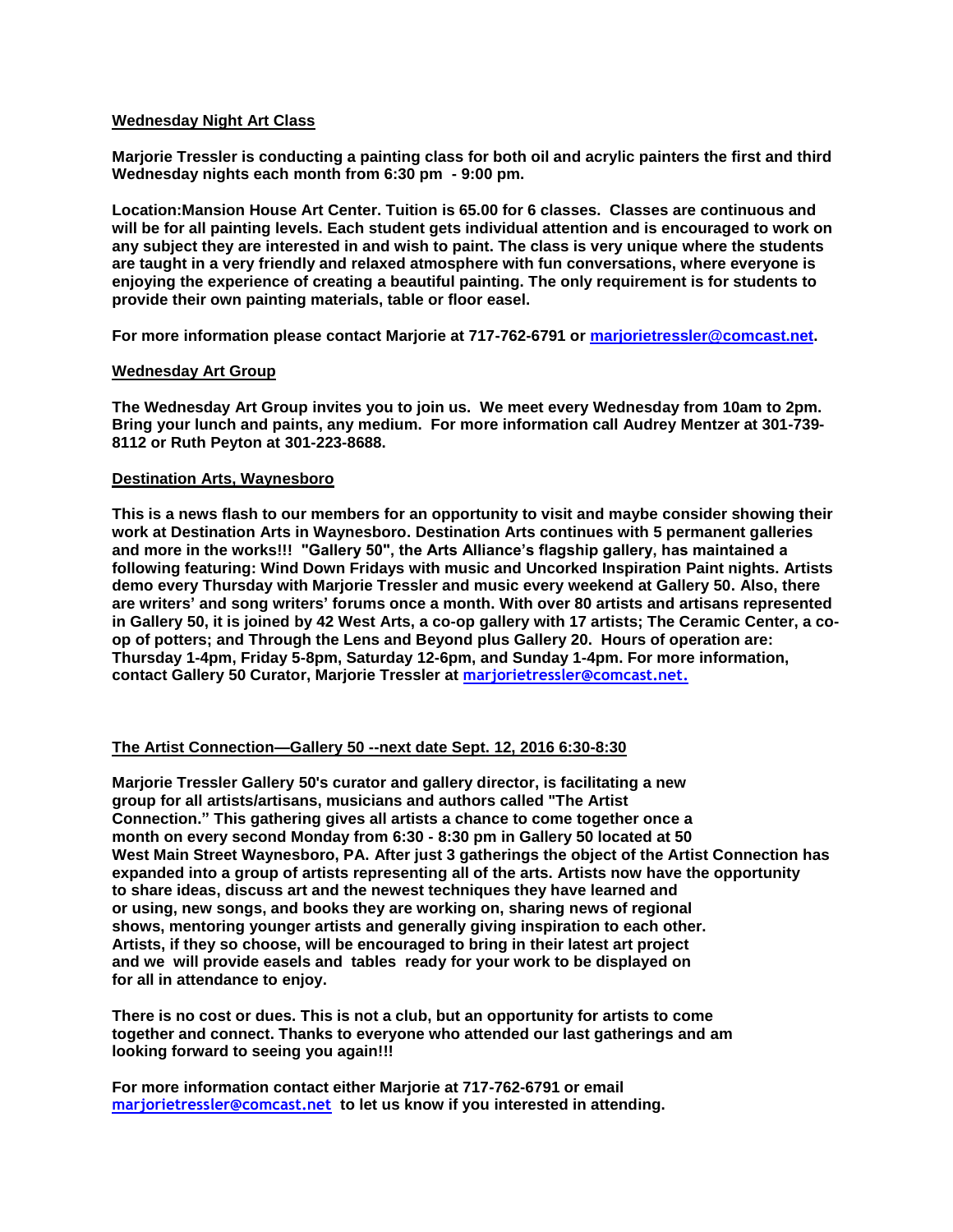#### **Wednesday Night Art Class**

**Marjorie Tressler is conducting a painting class for both oil and acrylic painters the first and third Wednesday nights each month from 6:30 pm - 9:00 pm.**

**Location:Mansion House Art Center. Tuition is 65.00 for 6 classes. Classes are continuous and will be for all painting levels. Each student gets individual attention and is encouraged to work on any subject they are interested in and wish to paint. The class is very unique where the students are taught in a very friendly and relaxed atmosphere with fun conversations, where everyone is enjoying the experience of creating a beautiful painting. The only requirement is for students to provide their own painting materials, table or floor easel.**

**For more information please contact Marjorie at 717-762-6791 or [marjorietressler@comcast.net.](mailto:marjorietressler@comcast.net)**

#### **Wednesday Art Group**

**The Wednesday Art Group invites you to join us. We meet every Wednesday from 10am to 2pm. Bring your lunch and paints, any medium. For more information call Audrey Mentzer at 301-739- 8112 or Ruth Peyton at 301-223-8688.**

#### **Destination Arts, Waynesboro**

**This is a news flash to our members for an opportunity to visit and maybe consider showing their work at Destination Arts in Waynesboro. Destination Arts continues with 5 permanent galleries and more in the works!!! "Gallery 50", the Arts Alliance's flagship gallery, has maintained a following featuring: Wind Down Fridays with music and Uncorked Inspiration Paint nights. Artists demo every Thursday with Marjorie Tressler and music every weekend at Gallery 50. Also, there are writers' and song writers' forums once a month. With over 80 artists and artisans represented in Gallery 50, it is joined by 42 West Arts, a co-op gallery with 17 artists; The Ceramic Center, a coop of potters; and Through the Lens and Beyond plus Gallery 20. Hours of operation are: Thursday 1-4pm, Friday 5-8pm, Saturday 12-6pm, and Sunday 1-4pm. For more information, contact Gallery 50 Curator, Marjorie Tressler at [marjorietressler@comcast.net.](mailto:marjorietressler@comcast.net)**

#### **The Artist Connection—Gallery 50 --next date Sept. 12, 2016 6:30-8:30**

**Marjorie Tressler Gallery 50's curator and gallery director, is facilitating a new group for all artists/artisans, musicians and authors called "The Artist Connection." This gathering gives all artists a chance to come together once a month on every second Monday from 6:30 - 8:30 pm in Gallery 50 located at 50 West Main Street Waynesboro, PA. After just 3 gatherings the object of the Artist Connection has expanded into a group of artists representing all of the arts. Artists now have the opportunity to share ideas, discuss art and the newest techniques they have learned and or using, new songs, and books they are working on, sharing news of regional shows, mentoring younger artists and generally giving inspiration to each other. Artists, if they so choose, will be encouraged to bring in their latest art project and we will provide easels and tables ready for your work to be displayed on for all in attendance to enjoy.** 

**There is no cost or dues. This is not a club, but an opportunity for artists to come together and connect. Thanks to everyone who attended our last gatherings and am looking forward to seeing you again!!!** 

**For more information contact either Marjorie at 717-762-6791 or email marjorietressler@comcast.net to let us know if you interested in attending.**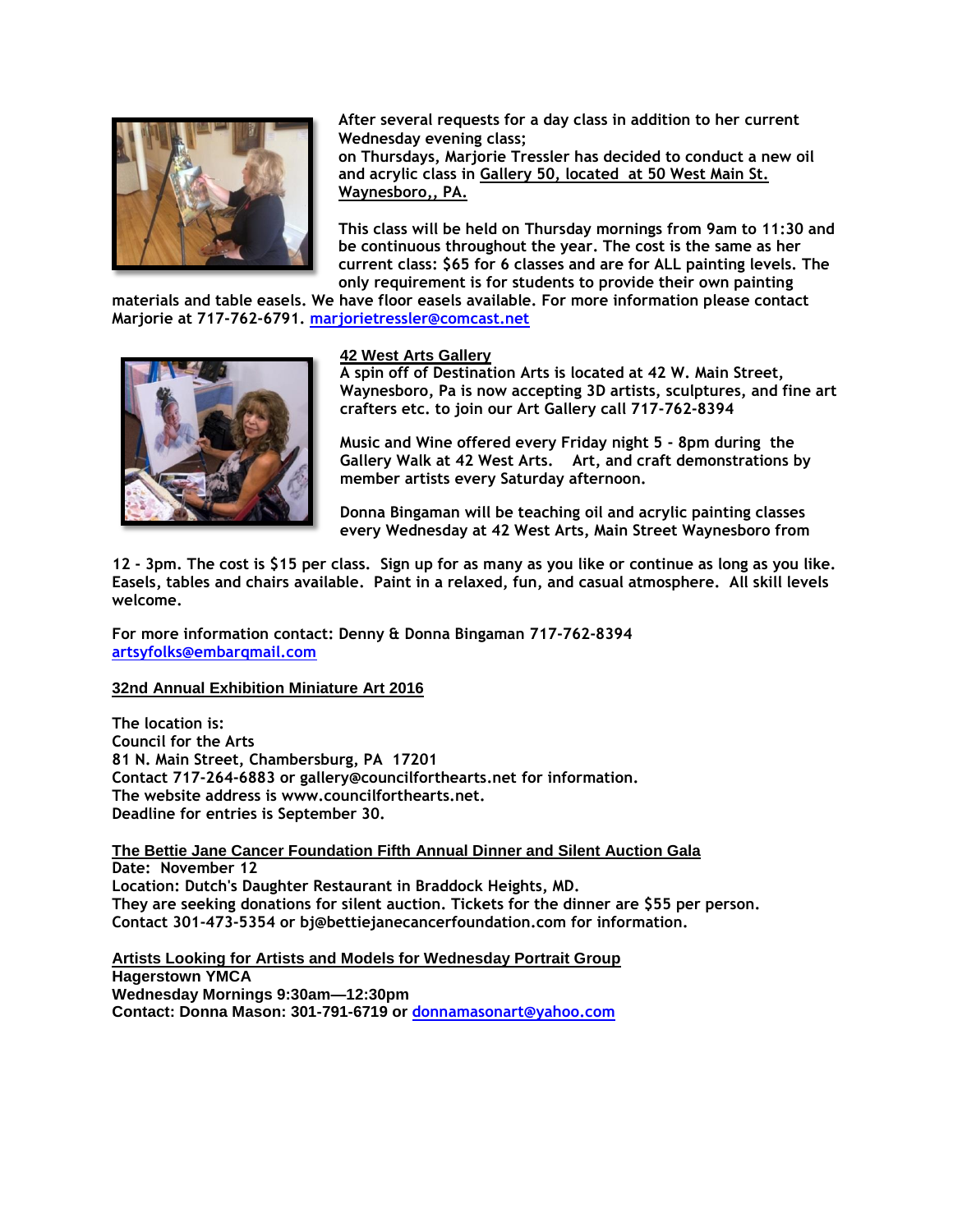

**After several requests for a day class in addition to her current Wednesday evening class;** 

**on Thursdays, Marjorie Tressler has decided to conduct a new oil and acrylic class in Gallery 50, located at 50 West Main St. Waynesboro,, PA.** 

**This class will be held on Thursday mornings from 9am to 11:30 and be continuous throughout the year. The cost is the same as her current class: \$65 for 6 classes and are for ALL painting levels. The only requirement is for students to provide their own painting** 

**materials and table easels. We have floor easels available. For more information please contact Marjorie at 717-762-6791. [marjorietressler@comcast.net](mailto:marjorietressler@comcast.net)**



#### **42 West Arts Gallery**

**A spin off of Destination Arts is located at 42 W. Main Street, Waynesboro, Pa is now accepting 3D artists, sculptures, and fine art crafters etc. to join our Art Gallery call 717-762-8394**

**Music and Wine offered every Friday night 5 - 8pm during the Gallery Walk at 42 West Arts. Art, and craft demonstrations by member artists every Saturday afternoon.**

**Donna Bingaman will be teaching oil and acrylic painting classes every Wednesday at 42 West Arts, Main Street Waynesboro from** 

**12 - 3pm. The cost is \$15 per class. Sign up for as many as you like or continue as long as you like. Easels, tables and chairs available. Paint in a relaxed, fun, and casual atmosphere. All skill levels welcome.** 

**For more information contact: Denny & Donna Bingaman 717-762-8394 [artsyfolks@embarqmail.com](mailto:artsyfolks@embarqmail.com)**

#### **32nd Annual Exhibition Miniature Art 2016**

**The location is: Council for the Arts 81 N. Main Street, Chambersburg, PA 17201 Contact 717-264-6883 or gallery@councilforthearts.net for information. The website address is www.councilforthearts.net. Deadline for entries is September 30.**

**The Bettie Jane Cancer Foundation Fifth Annual Dinner and Silent Auction Gala Date: November 12 Location: Dutch's Daughter Restaurant in Braddock Heights, MD. They are seeking donations for silent auction. Tickets for the dinner are \$55 per person. Contact 301-473-5354 or bj@bettiejanecancerfoundation.com for information.**

**Artists Looking for Artists and Models for Wednesday Portrait Group Hagerstown YMCA Wednesday Mornings 9:30am—12:30pm Contact: Donna Mason: 301-791-6719 or [donnamasonart@yahoo.com](mailto:donnamasonart@yahoo.com)**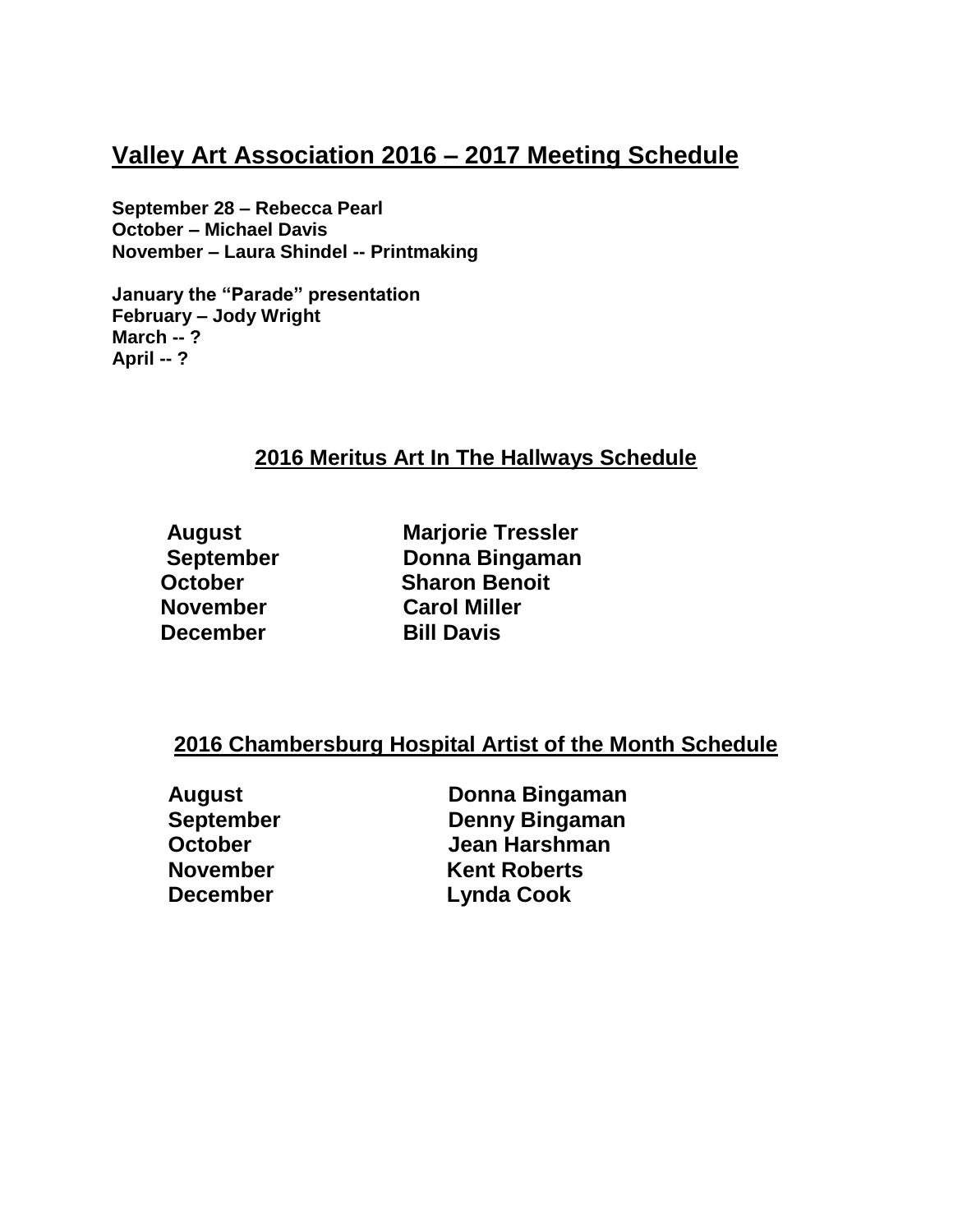## **Valley Art Association 2016 – 2017 Meeting Schedule**

**September 28 – Rebecca Pearl October – Michael Davis November – Laura Shindel -- Printmaking**

**January the "Parade" presentation February – Jody Wright March -- ? April -- ?**

## **2016 Meritus Art In The Hallways Schedule**

**December** Bill Davis

 **August Marjorie Tressler September Donna Bingaman October Sharon Benoit November Carol Miller**

### **2016 Chambersburg Hospital Artist of the Month Schedule**

**August Donna Bingaman September Denny Bingaman October Jean Harshman November Kent Roberts December Lynda Cook**